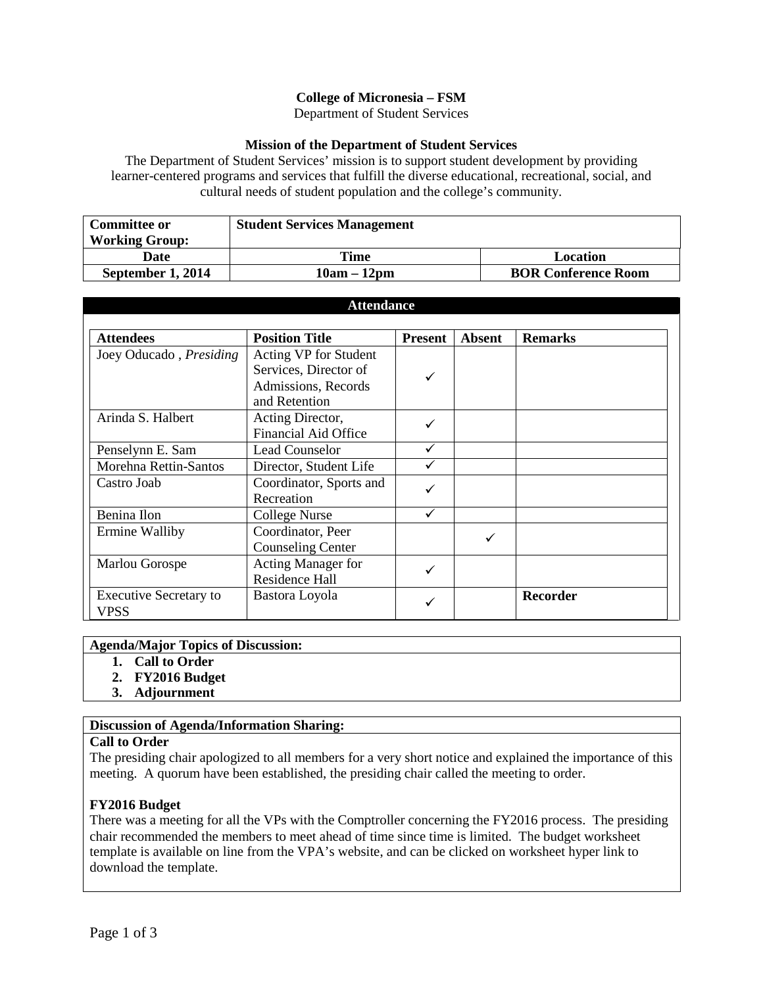# **College of Micronesia – FSM**

Department of Student Services

#### **Mission of the Department of Student Services**

The Department of Student Services' mission is to support student development by providing learner-centered programs and services that fulfill the diverse educational, recreational, social, and cultural needs of student population and the college's community.

| <b>Committee or</b>   | <b>Student Services Management</b> |                            |  |  |  |
|-----------------------|------------------------------------|----------------------------|--|--|--|
| <b>Working Group:</b> |                                    |                            |  |  |  |
| Date                  | Time                               | Location                   |  |  |  |
| September 1, 2014     | $10am - 12pm$                      | <b>BOR Conference Room</b> |  |  |  |

| <b>Attendance</b>                     |                                                                                        |                |               |                 |  |  |
|---------------------------------------|----------------------------------------------------------------------------------------|----------------|---------------|-----------------|--|--|
| <b>Attendees</b>                      | <b>Position Title</b>                                                                  | <b>Present</b> | <b>Absent</b> | <b>Remarks</b>  |  |  |
| Joey Oducado, Presiding               | Acting VP for Student<br>Services, Director of<br>Admissions, Records<br>and Retention | ✓              |               |                 |  |  |
| Arinda S. Halbert                     | Acting Director,<br><b>Financial Aid Office</b>                                        |                |               |                 |  |  |
| Penselynn E. Sam                      | Lead Counselor                                                                         | ✓              |               |                 |  |  |
| Morehna Rettin-Santos                 | Director, Student Life                                                                 |                |               |                 |  |  |
| Castro Joab                           | Coordinator, Sports and<br>Recreation                                                  |                |               |                 |  |  |
| Benina Ilon                           | <b>College Nurse</b>                                                                   | ✓              |               |                 |  |  |
| Ermine Walliby                        | Coordinator, Peer<br><b>Counseling Center</b>                                          |                | ✓             |                 |  |  |
| Marlou Gorospe                        | Acting Manager for<br>Residence Hall                                                   |                |               |                 |  |  |
| <b>Executive Secretary to</b><br>VPSS | Bastora Loyola                                                                         |                |               | <b>Recorder</b> |  |  |

#### **Agenda/Major Topics of Discussion:**

- **1. Call to Order**
- **2. FY2016 Budget**
- **3. Adjournment**

### **Discussion of Agenda/Information Sharing:**

### **Call to Order**

The presiding chair apologized to all members for a very short notice and explained the importance of this meeting. A quorum have been established, the presiding chair called the meeting to order.

### **FY2016 Budget**

There was a meeting for all the VPs with the Comptroller concerning the FY2016 process. The presiding chair recommended the members to meet ahead of time since time is limited. The budget worksheet template is available on line from the VPA's website, and can be clicked on worksheet hyper link to download the template.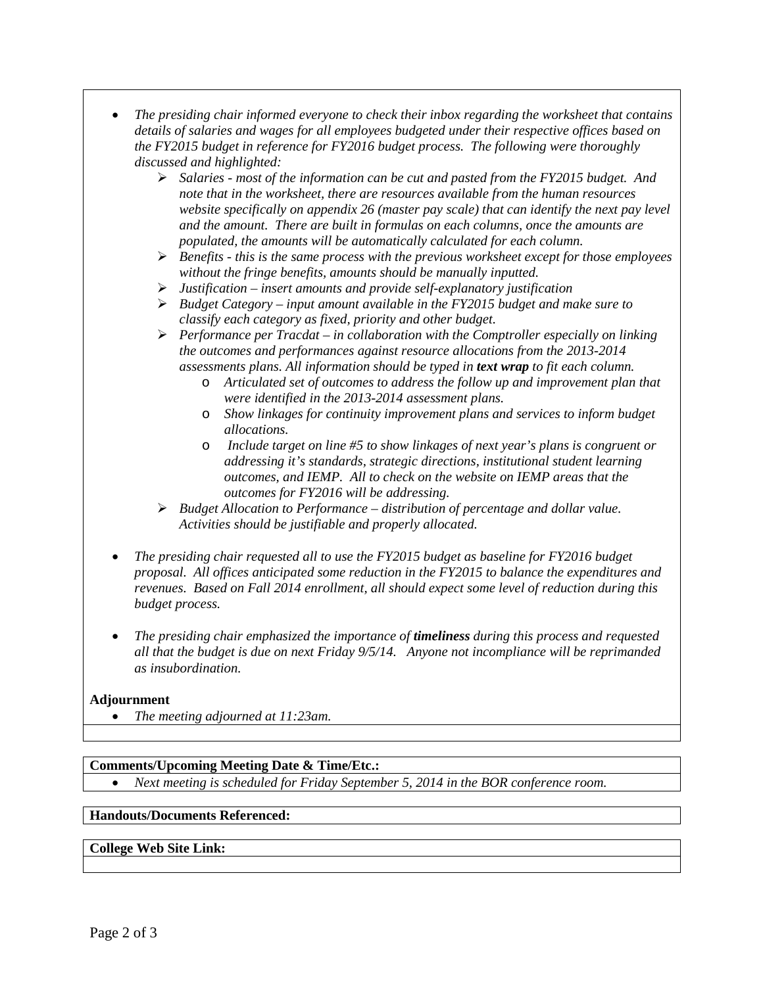- *The presiding chair informed everyone to check their inbox regarding the worksheet that contains details of salaries and wages for all employees budgeted under their respective offices based on the FY2015 budget in reference for FY2016 budget process. The following were thoroughly discussed and highlighted:*
	- *Salaries - most of the information can be cut and pasted from the FY2015 budget. And note that in the worksheet, there are resources available from the human resources website specifically on appendix 26 (master pay scale) that can identify the next pay level and the amount. There are built in formulas on each columns, once the amounts are populated, the amounts will be automatically calculated for each column.*
	- *Benefits - this is the same process with the previous worksheet except for those employees without the fringe benefits, amounts should be manually inputted.*
	- *Justification – insert amounts and provide self-explanatory justification*
	- *Budget Category – input amount available in the FY2015 budget and make sure to classify each category as fixed, priority and other budget.*
	- *Performance per Tracdat – in collaboration with the Comptroller especially on linking the outcomes and performances against resource allocations from the 2013-2014 assessments plans. All information should be typed in text wrap to fit each column.*
		- o *Articulated set of outcomes to address the follow up and improvement plan that were identified in the 2013-2014 assessment plans.*
		- o *Show linkages for continuity improvement plans and services to inform budget allocations.*
		- o *Include target on line #5 to show linkages of next year's plans is congruent or addressing it's standards, strategic directions, institutional student learning outcomes, and IEMP. All to check on the website on IEMP areas that the outcomes for FY2016 will be addressing.*
	- *Budget Allocation to Performance – distribution of percentage and dollar value. Activities should be justifiable and properly allocated.*
- *The presiding chair requested all to use the FY2015 budget as baseline for FY2016 budget proposal. All offices anticipated some reduction in the FY2015 to balance the expenditures and revenues. Based on Fall 2014 enrollment, all should expect some level of reduction during this budget process.*
- *The presiding chair emphasized the importance of timeliness during this process and requested all that the budget is due on next Friday 9/5/14. Anyone not incompliance will be reprimanded as insubordination.*

### **Adjournment**

• *The meeting adjourned at 11:23am.*

### **Comments/Upcoming Meeting Date & Time/Etc.:**

• *Next meeting is scheduled for Friday September 5, 2014 in the BOR conference room.*

### **Handouts/Documents Referenced:**

## **College Web Site Link:**